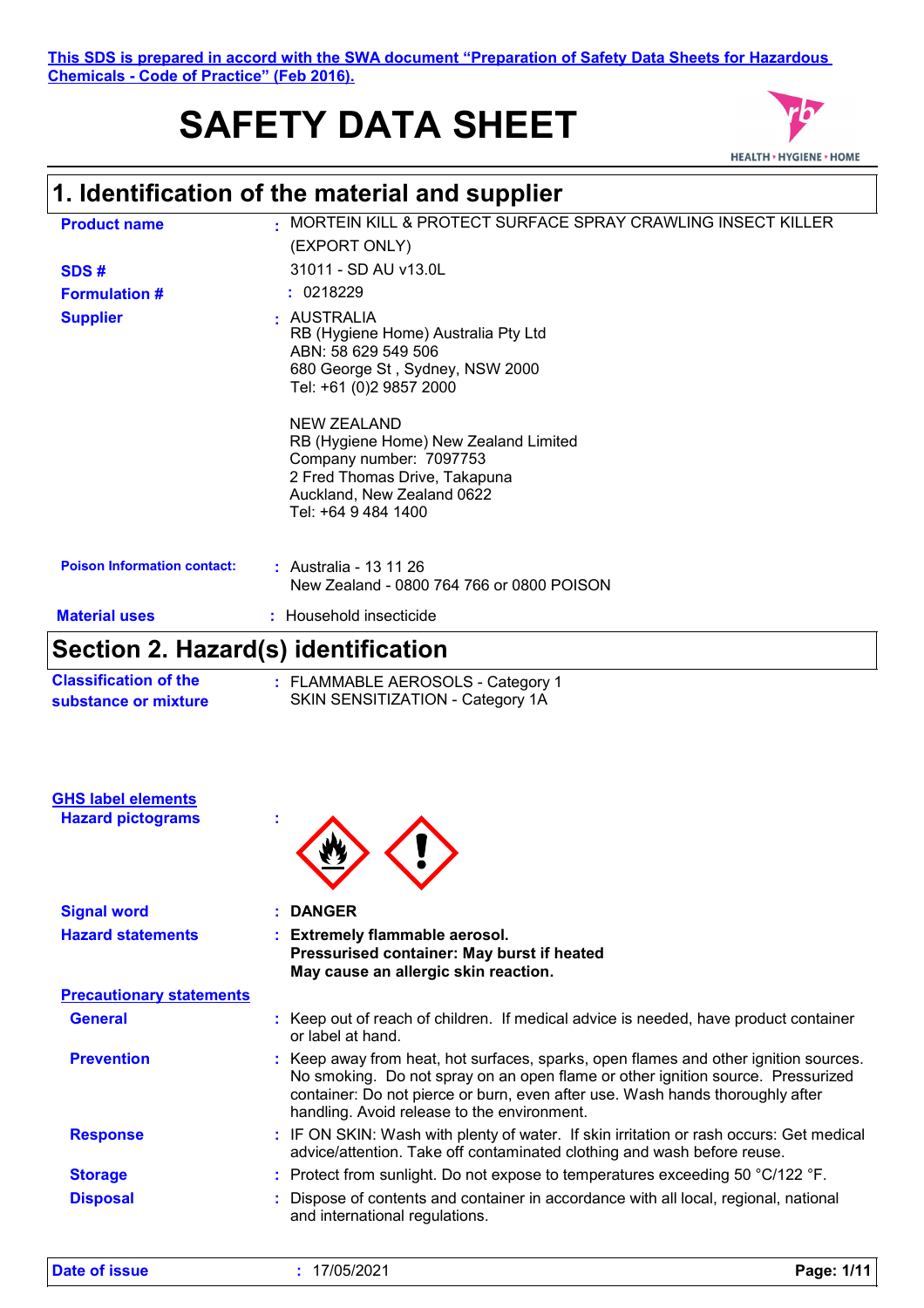#### **This SDS is prepared in accord with the SWA document "Preparation of Safety Data Sheets for Hazardous Chemicals - Code of Practice" (Feb 2016).**

# **SAFETY DATA SHEET**



### **1. Identification of the material and supplier**

| <b>Product name</b>                                                 | MORTEIN KILL & PROTECT SURFACE SPRAY CRAWLING INSECT KILLER<br>(EXPORT ONLY)                                                                                                                                                                                                                            |
|---------------------------------------------------------------------|---------------------------------------------------------------------------------------------------------------------------------------------------------------------------------------------------------------------------------------------------------------------------------------------------------|
|                                                                     | 31011 - SD AU v13.0L                                                                                                                                                                                                                                                                                    |
| SDS#                                                                | : 0218229                                                                                                                                                                                                                                                                                               |
| <b>Formulation #</b>                                                |                                                                                                                                                                                                                                                                                                         |
| <b>Supplier</b>                                                     | AUSTRALIA<br>RB (Hygiene Home) Australia Pty Ltd<br>ABN: 58 629 549 506<br>680 George St, Sydney, NSW 2000<br>Tel: +61 (0)2 9857 2000                                                                                                                                                                   |
|                                                                     | <b>NEW ZEALAND</b><br>RB (Hygiene Home) New Zealand Limited<br>Company number: 7097753<br>2 Fred Thomas Drive, Takapuna<br>Auckland, New Zealand 0622<br>Tel: +64 9 484 1400                                                                                                                            |
| <b>Poison Information contact:</b>                                  | : Australia - 13 11 26<br>New Zealand - 0800 764 766 or 0800 POISON                                                                                                                                                                                                                                     |
| <b>Material uses</b>                                                | : Household insecticide                                                                                                                                                                                                                                                                                 |
|                                                                     |                                                                                                                                                                                                                                                                                                         |
| Section 2. Hazard(s) identification<br><b>Classification of the</b> | : FLAMMABLE AEROSOLS - Category 1                                                                                                                                                                                                                                                                       |
| substance or mixture<br><b>GHS label elements</b>                   | SKIN SENSITIZATION - Category 1A                                                                                                                                                                                                                                                                        |
| <b>Hazard pictograms</b>                                            |                                                                                                                                                                                                                                                                                                         |
| <b>Signal word</b>                                                  | <b>DANGER</b>                                                                                                                                                                                                                                                                                           |
| <b>Hazard statements</b>                                            | <b>Extremely flammable aerosol.</b><br>Pressurised container: May burst if heated<br>May cause an allergic skin reaction.                                                                                                                                                                               |
| <b>Precautionary statements</b>                                     |                                                                                                                                                                                                                                                                                                         |
| <b>General</b>                                                      | : Keep out of reach of children. If medical advice is needed, have product container<br>or label at hand.                                                                                                                                                                                               |
| <b>Prevention</b>                                                   | : Keep away from heat, hot surfaces, sparks, open flames and other ignition sources.<br>No smoking. Do not spray on an open flame or other ignition source. Pressurized<br>container: Do not pierce or burn, even after use. Wash hands thoroughly after<br>handling. Avoid release to the environment. |
| <b>Response</b>                                                     | : IF ON SKIN: Wash with plenty of water. If skin irritation or rash occurs: Get medical<br>advice/attention. Take off contaminated clothing and wash before reuse.                                                                                                                                      |
| <b>Storage</b>                                                      | : Protect from sunlight. Do not expose to temperatures exceeding 50 °C/122 °F.                                                                                                                                                                                                                          |

and international regulations.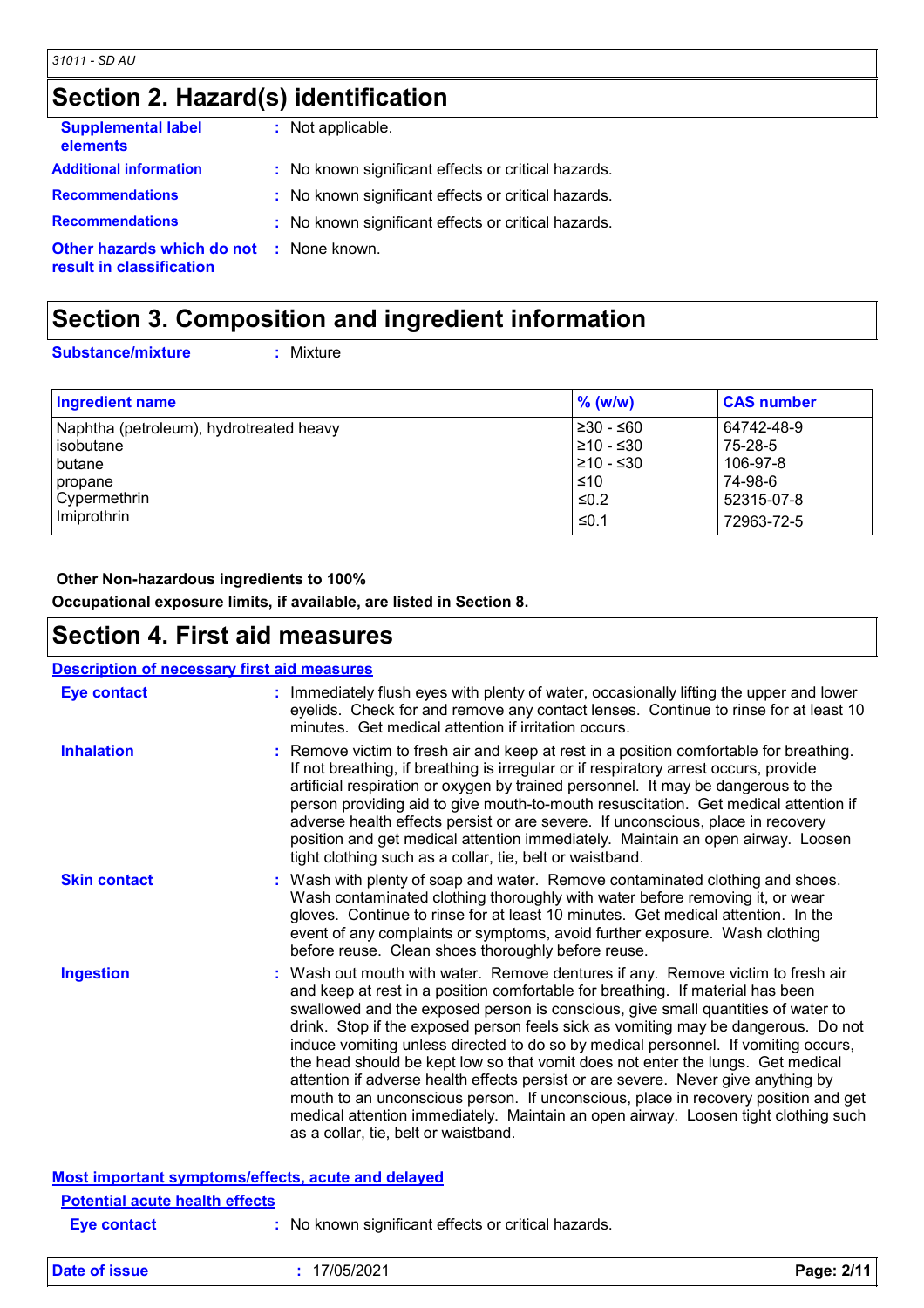### **Section 2. Hazard(s) identification**

| <b>Supplemental label</b><br>elements                                       | : Not applicable.                                   |
|-----------------------------------------------------------------------------|-----------------------------------------------------|
| <b>Additional information</b>                                               | : No known significant effects or critical hazards. |
| <b>Recommendations</b>                                                      | : No known significant effects or critical hazards. |
| <b>Recommendations</b>                                                      | : No known significant effects or critical hazards. |
| <b>Other hazards which do not : None known.</b><br>result in classification |                                                     |

### **Section 3. Composition and ingredient information**

**Substance/mixture :**

: Mixture

| Ingredient name                         | $\%$ (w/w) | <b>CAS number</b> |
|-----------------------------------------|------------|-------------------|
| Naphtha (petroleum), hydrotreated heavy | l≥30 - ≤60 | 64742-48-9        |
| lisobutane                              | 210 - ≤30  | 75-28-5           |
| I butane                                | l≥10 - ≤30 | 106-97-8          |
| propane                                 | ≤10        | 74-98-6           |
| Cypermethrin                            | $\leq 0.2$ | 52315-07-8        |
| Imiprothrin                             | ≤0.1       | 72963-72-5        |

#### **Other Non-hazardous ingredients to 100%**

**Occupational exposure limits, if available, are listed in Section 8.**

### **Section 4. First aid measures**

#### **Eye contact : Description of necessary first aid measures**

| <b>Eye contact</b>                                 | : Immediately flush eyes with plenty of water, occasionally lifting the upper and lower<br>eyelids. Check for and remove any contact lenses. Continue to rinse for at least 10<br>minutes. Get medical attention if irritation occurs.                                                                                                                                                                                                                                                                                                                                                                                                                                                                                                                                                                                       |
|----------------------------------------------------|------------------------------------------------------------------------------------------------------------------------------------------------------------------------------------------------------------------------------------------------------------------------------------------------------------------------------------------------------------------------------------------------------------------------------------------------------------------------------------------------------------------------------------------------------------------------------------------------------------------------------------------------------------------------------------------------------------------------------------------------------------------------------------------------------------------------------|
| <b>Inhalation</b>                                  | : Remove victim to fresh air and keep at rest in a position comfortable for breathing.<br>If not breathing, if breathing is irregular or if respiratory arrest occurs, provide<br>artificial respiration or oxygen by trained personnel. It may be dangerous to the<br>person providing aid to give mouth-to-mouth resuscitation. Get medical attention if<br>adverse health effects persist or are severe. If unconscious, place in recovery<br>position and get medical attention immediately. Maintain an open airway. Loosen<br>tight clothing such as a collar, tie, belt or waistband.                                                                                                                                                                                                                                 |
| <b>Skin contact</b>                                | : Wash with plenty of soap and water. Remove contaminated clothing and shoes.<br>Wash contaminated clothing thoroughly with water before removing it, or wear<br>gloves. Continue to rinse for at least 10 minutes. Get medical attention. In the<br>event of any complaints or symptoms, avoid further exposure. Wash clothing<br>before reuse. Clean shoes thoroughly before reuse.                                                                                                                                                                                                                                                                                                                                                                                                                                        |
| <b>Ingestion</b>                                   | : Wash out mouth with water. Remove dentures if any. Remove victim to fresh air<br>and keep at rest in a position comfortable for breathing. If material has been<br>swallowed and the exposed person is conscious, give small quantities of water to<br>drink. Stop if the exposed person feels sick as vomiting may be dangerous. Do not<br>induce vomiting unless directed to do so by medical personnel. If vomiting occurs,<br>the head should be kept low so that vomit does not enter the lungs. Get medical<br>attention if adverse health effects persist or are severe. Never give anything by<br>mouth to an unconscious person. If unconscious, place in recovery position and get<br>medical attention immediately. Maintain an open airway. Loosen tight clothing such<br>as a collar, tie, belt or waistband. |
| Most important symptoms/effects, acute and delayed |                                                                                                                                                                                                                                                                                                                                                                                                                                                                                                                                                                                                                                                                                                                                                                                                                              |
| <b>Potential acute health effects</b>              |                                                                                                                                                                                                                                                                                                                                                                                                                                                                                                                                                                                                                                                                                                                                                                                                                              |
| <b>Eve contact</b>                                 | No known significant effects or critical hazards.                                                                                                                                                                                                                                                                                                                                                                                                                                                                                                                                                                                                                                                                                                                                                                            |

**Date of issue :** 17/05/2021 **Page: 2/11**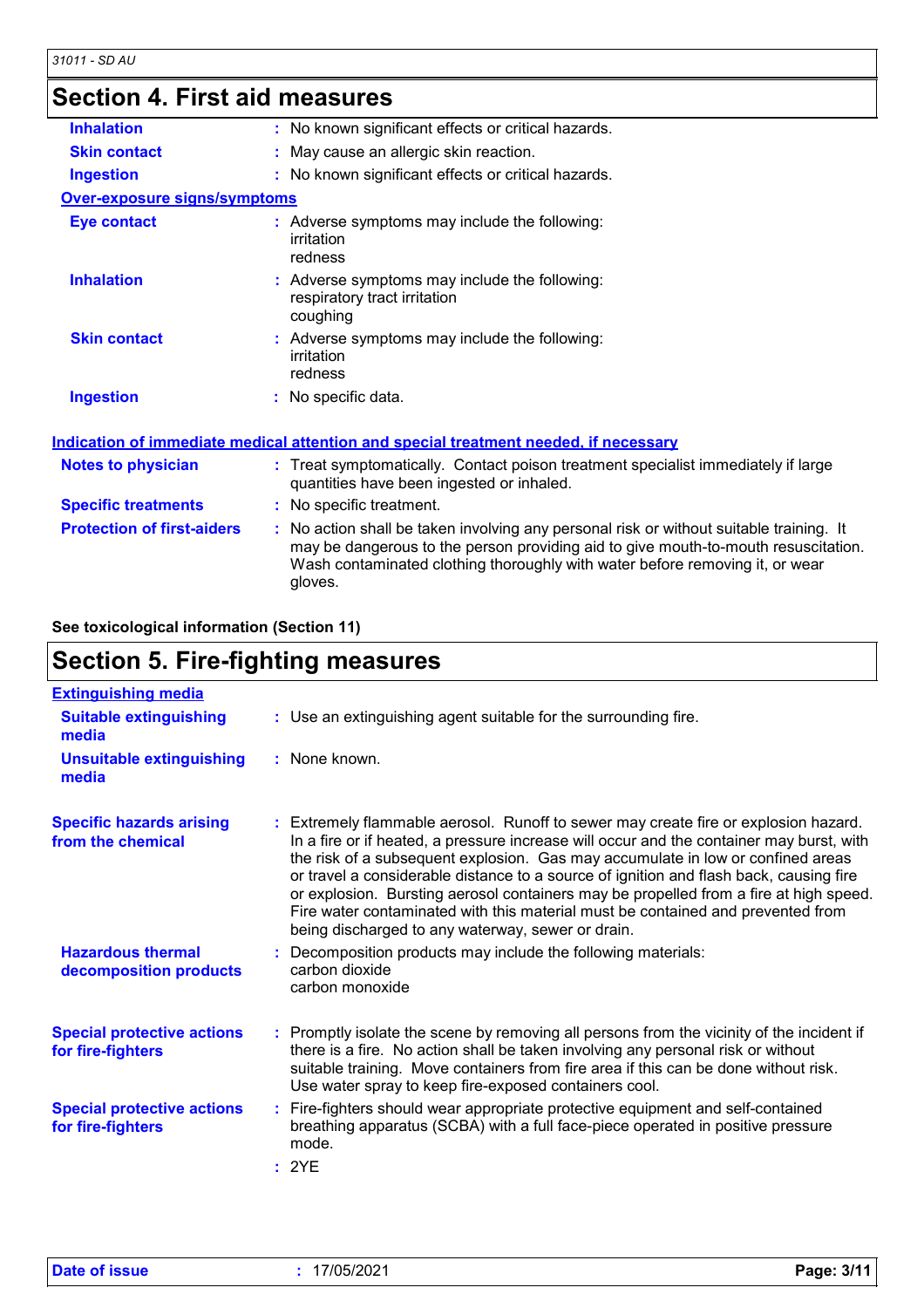### **Section 4. First aid measures**

| <b>Inhalation</b>                   | : No known significant effects or critical hazards.                                                                                                                                                                                                                      |
|-------------------------------------|--------------------------------------------------------------------------------------------------------------------------------------------------------------------------------------------------------------------------------------------------------------------------|
| <b>Skin contact</b>                 | : May cause an allergic skin reaction.                                                                                                                                                                                                                                   |
| <b>Ingestion</b>                    | : No known significant effects or critical hazards.                                                                                                                                                                                                                      |
| <b>Over-exposure signs/symptoms</b> |                                                                                                                                                                                                                                                                          |
| <b>Eye contact</b>                  | : Adverse symptoms may include the following:<br>irritation<br>redness                                                                                                                                                                                                   |
| <b>Inhalation</b>                   | : Adverse symptoms may include the following:<br>respiratory tract irritation<br>coughing                                                                                                                                                                                |
| <b>Skin contact</b>                 | : Adverse symptoms may include the following:<br>irritation<br>redness                                                                                                                                                                                                   |
| <b>Ingestion</b>                    | : No specific data.                                                                                                                                                                                                                                                      |
|                                     | Indication of immediate medical attention and special treatment needed, if necessary                                                                                                                                                                                     |
| <b>Notes to physician</b>           | : Treat symptomatically. Contact poison treatment specialist immediately if large<br>quantities have been ingested or inhaled.                                                                                                                                           |
| <b>Specific treatments</b>          | : No specific treatment.                                                                                                                                                                                                                                                 |
| <b>Protection of first-aiders</b>   | : No action shall be taken involving any personal risk or without suitable training. It<br>may be dangerous to the person providing aid to give mouth-to-mouth resuscitation.<br>Wash contaminated clothing thoroughly with water before removing it, or wear<br>gloves. |

**See toxicological information (Section 11)**

## **Section 5. Fire-fighting measures**

| <b>Extinguishing media</b>                             |                                                                                                                                                                                                                                                                                                                                                                                                                                                                                                                                                                                               |
|--------------------------------------------------------|-----------------------------------------------------------------------------------------------------------------------------------------------------------------------------------------------------------------------------------------------------------------------------------------------------------------------------------------------------------------------------------------------------------------------------------------------------------------------------------------------------------------------------------------------------------------------------------------------|
| <b>Suitable extinguishing</b><br>media                 | : Use an extinguishing agent suitable for the surrounding fire.                                                                                                                                                                                                                                                                                                                                                                                                                                                                                                                               |
| <b>Unsuitable extinguishing</b><br>media               | : None known.                                                                                                                                                                                                                                                                                                                                                                                                                                                                                                                                                                                 |
| <b>Specific hazards arising</b><br>from the chemical   | : Extremely flammable aerosol. Runoff to sewer may create fire or explosion hazard.<br>In a fire or if heated, a pressure increase will occur and the container may burst, with<br>the risk of a subsequent explosion. Gas may accumulate in low or confined areas<br>or travel a considerable distance to a source of ignition and flash back, causing fire<br>or explosion. Bursting aerosol containers may be propelled from a fire at high speed.<br>Fire water contaminated with this material must be contained and prevented from<br>being discharged to any waterway, sewer or drain. |
| <b>Hazardous thermal</b><br>decomposition products     | : Decomposition products may include the following materials:<br>carbon dioxide<br>carbon monoxide                                                                                                                                                                                                                                                                                                                                                                                                                                                                                            |
| <b>Special protective actions</b><br>for fire-fighters | : Promptly isolate the scene by removing all persons from the vicinity of the incident if<br>there is a fire. No action shall be taken involving any personal risk or without<br>suitable training. Move containers from fire area if this can be done without risk.<br>Use water spray to keep fire-exposed containers cool.                                                                                                                                                                                                                                                                 |
| <b>Special protective actions</b><br>for fire-fighters | : Fire-fighters should wear appropriate protective equipment and self-contained<br>breathing apparatus (SCBA) with a full face-piece operated in positive pressure<br>mode.<br>: 2YE                                                                                                                                                                                                                                                                                                                                                                                                          |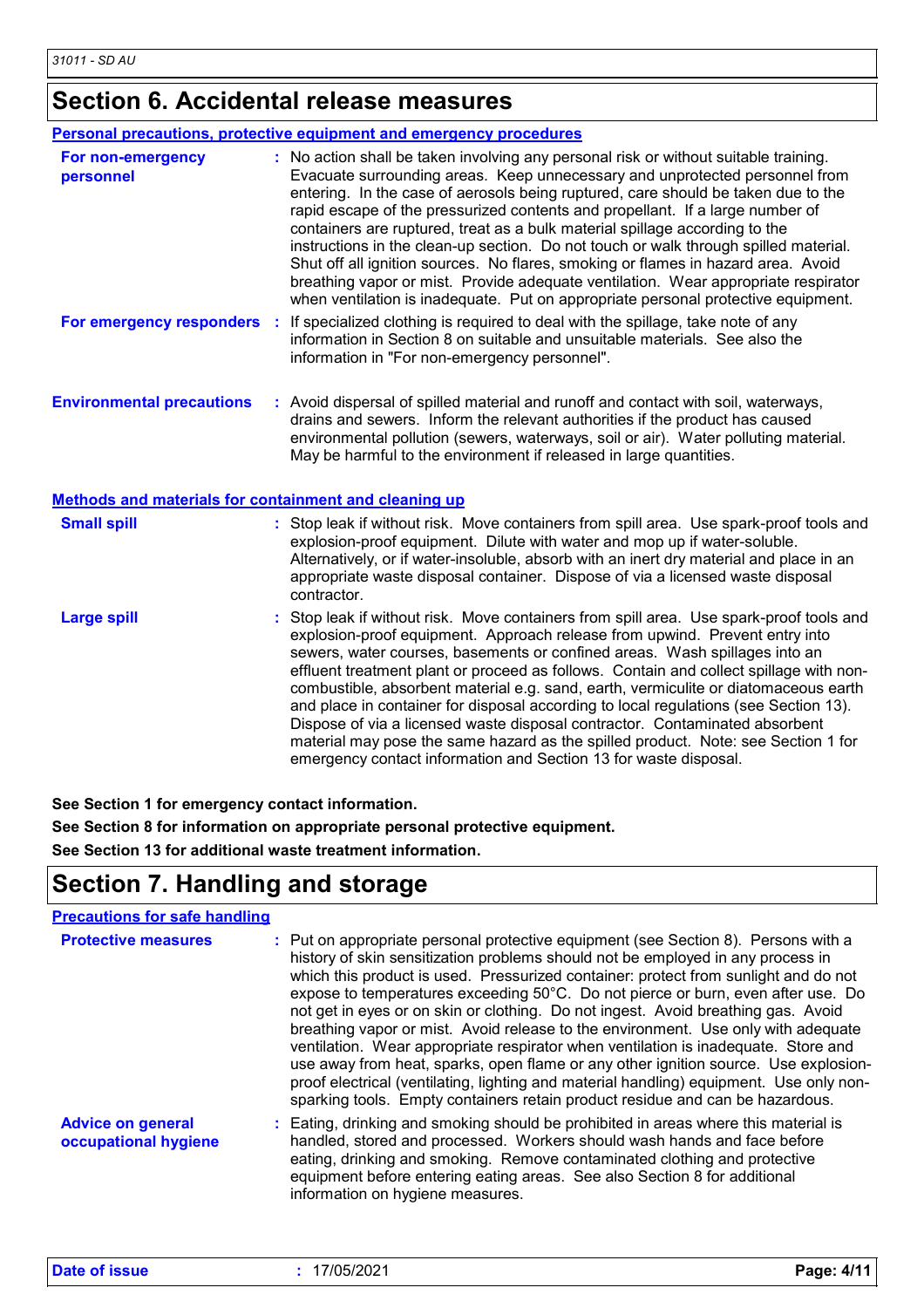## **Section 6. Accidental release measures**

|                                                       | <b>Personal precautions, protective equipment and emergency procedures</b>                                                                                                                                                                                                                                                                                                                                                                                                                                                                                                                                                                                                                                                                                                       |
|-------------------------------------------------------|----------------------------------------------------------------------------------------------------------------------------------------------------------------------------------------------------------------------------------------------------------------------------------------------------------------------------------------------------------------------------------------------------------------------------------------------------------------------------------------------------------------------------------------------------------------------------------------------------------------------------------------------------------------------------------------------------------------------------------------------------------------------------------|
| For non-emergency<br>personnel                        | : No action shall be taken involving any personal risk or without suitable training.<br>Evacuate surrounding areas. Keep unnecessary and unprotected personnel from<br>entering. In the case of aerosols being ruptured, care should be taken due to the<br>rapid escape of the pressurized contents and propellant. If a large number of<br>containers are ruptured, treat as a bulk material spillage according to the<br>instructions in the clean-up section. Do not touch or walk through spilled material.<br>Shut off all ignition sources. No flares, smoking or flames in hazard area. Avoid<br>breathing vapor or mist. Provide adequate ventilation. Wear appropriate respirator<br>when ventilation is inadequate. Put on appropriate personal protective equipment. |
| For emergency responders                              | If specialized clothing is required to deal with the spillage, take note of any<br>information in Section 8 on suitable and unsuitable materials. See also the<br>information in "For non-emergency personnel".                                                                                                                                                                                                                                                                                                                                                                                                                                                                                                                                                                  |
| <b>Environmental precautions</b>                      | : Avoid dispersal of spilled material and runoff and contact with soil, waterways,<br>drains and sewers. Inform the relevant authorities if the product has caused<br>environmental pollution (sewers, waterways, soil or air). Water polluting material.<br>May be harmful to the environment if released in large quantities.                                                                                                                                                                                                                                                                                                                                                                                                                                                  |
| Methods and materials for containment and cleaning up |                                                                                                                                                                                                                                                                                                                                                                                                                                                                                                                                                                                                                                                                                                                                                                                  |
| <b>Small spill</b>                                    | : Stop leak if without risk. Move containers from spill area. Use spark-proof tools and<br>explosion-proof equipment. Dilute with water and mop up if water-soluble.<br>Alternatively, or if water-insoluble, absorb with an inert dry material and place in an<br>appropriate waste disposal container. Dispose of via a licensed waste disposal<br>contractor.                                                                                                                                                                                                                                                                                                                                                                                                                 |
| <b>Large spill</b>                                    | Stop leak if without risk. Move containers from spill area. Use spark-proof tools and<br>explosion-proof equipment. Approach release from upwind. Prevent entry into<br>sewers, water courses, basements or confined areas. Wash spillages into an<br>effluent treatment plant or proceed as follows. Contain and collect spillage with non-<br>combustible, absorbent material e.g. sand, earth, vermiculite or diatomaceous earth<br>and place in container for disposal according to local regulations (see Section 13).<br>Dispose of via a licensed waste disposal contractor. Contaminated absorbent<br>material may pose the same hazard as the spilled product. Note: see Section 1 for<br>emergency contact information and Section 13 for waste disposal.              |

**See Section 1 for emergency contact information.**

**See Section 8 for information on appropriate personal protective equipment. See Section 13 for additional waste treatment information.**

### **Section 7. Handling and storage**

#### **Precautions for safe handling**

| <b>Protective measures</b>                       | : Put on appropriate personal protective equipment (see Section 8). Persons with a<br>history of skin sensitization problems should not be employed in any process in<br>which this product is used. Pressurized container: protect from sunlight and do not<br>expose to temperatures exceeding 50°C. Do not pierce or burn, even after use. Do<br>not get in eyes or on skin or clothing. Do not ingest. Avoid breathing gas. Avoid<br>breathing vapor or mist. Avoid release to the environment. Use only with adequate<br>ventilation. Wear appropriate respirator when ventilation is inadequate. Store and<br>use away from heat, sparks, open flame or any other ignition source. Use explosion-<br>proof electrical (ventilating, lighting and material handling) equipment. Use only non-<br>sparking tools. Empty containers retain product residue and can be hazardous. |
|--------------------------------------------------|-------------------------------------------------------------------------------------------------------------------------------------------------------------------------------------------------------------------------------------------------------------------------------------------------------------------------------------------------------------------------------------------------------------------------------------------------------------------------------------------------------------------------------------------------------------------------------------------------------------------------------------------------------------------------------------------------------------------------------------------------------------------------------------------------------------------------------------------------------------------------------------|
| <b>Advice on general</b><br>occupational hygiene | : Eating, drinking and smoking should be prohibited in areas where this material is<br>handled, stored and processed. Workers should wash hands and face before<br>eating, drinking and smoking. Remove contaminated clothing and protective<br>equipment before entering eating areas. See also Section 8 for additional<br>information on hygiene measures.                                                                                                                                                                                                                                                                                                                                                                                                                                                                                                                       |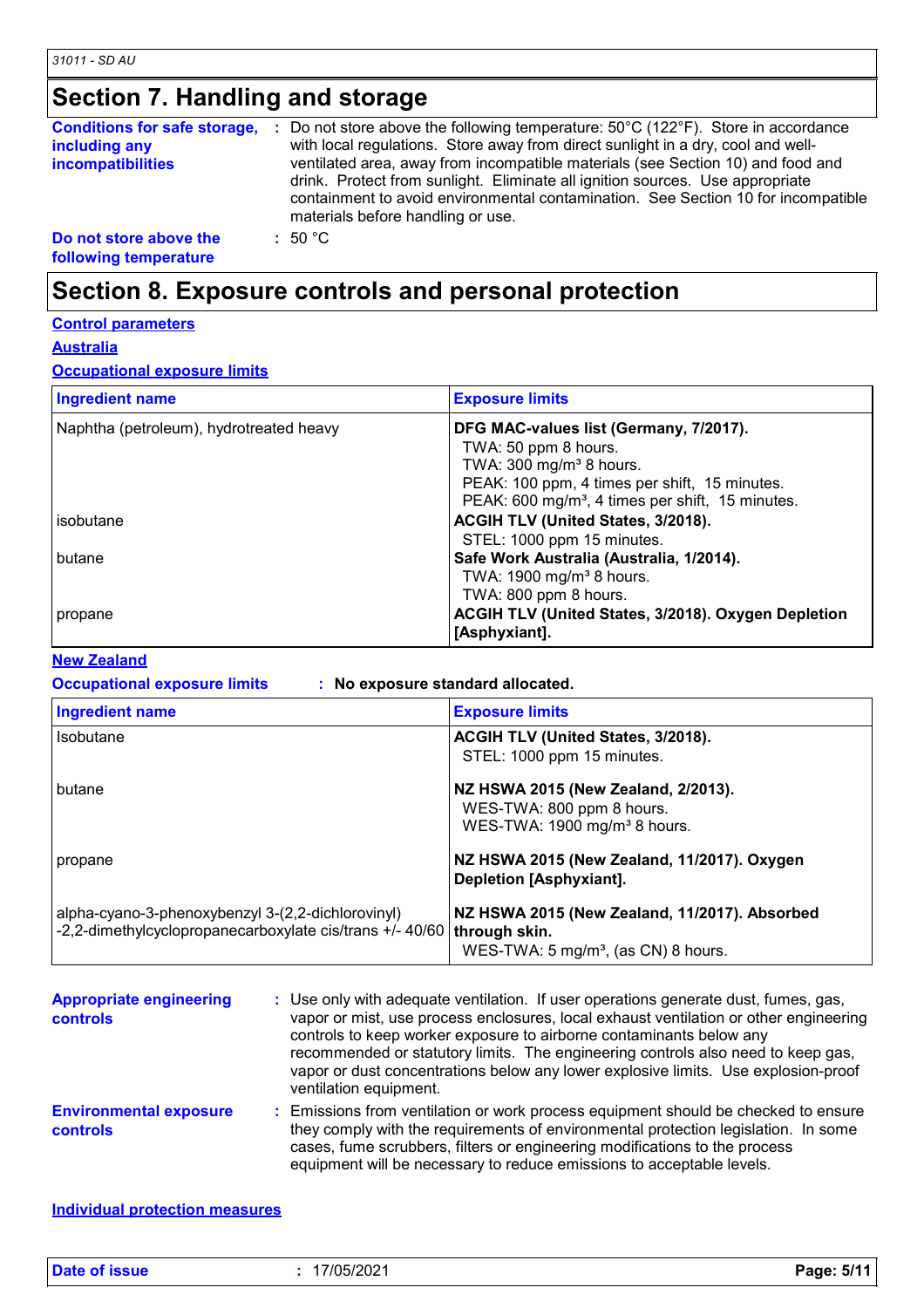### **Section 7. Handling and storage**

| <b>Conditions for safe storage,</b><br>including any<br><b>incompatibilities</b> | Do not store above the following temperature: $50^{\circ}$ C (122 $^{\circ}$ F). Store in accordance<br>with local regulations. Store away from direct sunlight in a dry, cool and well-<br>ventilated area, away from incompatible materials (see Section 10) and food and<br>drink. Protect from sunlight. Eliminate all ignition sources. Use appropriate<br>containment to avoid environmental contamination. See Section 10 for incompatible<br>materials before handling or use. |
|----------------------------------------------------------------------------------|----------------------------------------------------------------------------------------------------------------------------------------------------------------------------------------------------------------------------------------------------------------------------------------------------------------------------------------------------------------------------------------------------------------------------------------------------------------------------------------|
| Do not store above the<br>following temperature                                  | $\pm$ 50 °C.                                                                                                                                                                                                                                                                                                                                                                                                                                                                           |

### **Section 8. Exposure controls and personal protection**

#### **Control parameters**

**Australia**

### **Occupational exposure limits**

| <b>Ingredient name</b>                  | <b>Exposure limits</b>                                                                                                                              |
|-----------------------------------------|-----------------------------------------------------------------------------------------------------------------------------------------------------|
| Naphtha (petroleum), hydrotreated heavy | DFG MAC-values list (Germany, 7/2017).<br>TWA: 50 ppm 8 hours.                                                                                      |
|                                         | TWA: $300 \text{ mg/m}^3$ 8 hours.<br>PEAK: 100 ppm, 4 times per shift, 15 minutes.<br>PEAK: 600 mg/m <sup>3</sup> , 4 times per shift, 15 minutes. |
| isobutane                               | ACGIH TLV (United States, 3/2018).<br>STEL: 1000 ppm 15 minutes.                                                                                    |
| butane                                  | Safe Work Australia (Australia, 1/2014).<br>TWA: 1900 mg/m <sup>3</sup> 8 hours.                                                                    |
| propane                                 | TWA: 800 ppm 8 hours.<br><b>ACGIH TLV (United States, 3/2018). Oxygen Depletion</b><br>[Asphyxiant].                                                |

#### **New Zealand**

#### **Occupational exposure limits : No exposure standard allocated.**

| <b>Ingredient name</b>                                                                                        | <b>Exposure limits</b>                                                                                            |
|---------------------------------------------------------------------------------------------------------------|-------------------------------------------------------------------------------------------------------------------|
| <b>Isobutane</b>                                                                                              | ACGIH TLV (United States, 3/2018).<br>STEL: 1000 ppm 15 minutes.                                                  |
| butane                                                                                                        | NZ HSWA 2015 (New Zealand, 2/2013).<br>WES-TWA: 800 ppm 8 hours.<br>WES-TWA: 1900 mg/m <sup>3</sup> 8 hours.      |
| propane                                                                                                       | NZ HSWA 2015 (New Zealand, 11/2017). Oxygen<br>Depletion [Asphyxiant].                                            |
| alpha-cyano-3-phenoxybenzyl 3-(2,2-dichlorovinyl)<br>-2,2-dimethylcyclopropanecarboxylate cis/trans +/- 40/60 | NZ HSWA 2015 (New Zealand, 11/2017). Absorbed<br>through skin.<br>WES-TWA: 5 mg/m <sup>3</sup> , (as CN) 8 hours. |

| <b>Appropriate engineering</b><br><b>controls</b> | : Use only with adequate ventilation. If user operations generate dust, fumes, gas,<br>vapor or mist, use process enclosures, local exhaust ventilation or other engineering<br>controls to keep worker exposure to airborne contaminants below any<br>recommended or statutory limits. The engineering controls also need to keep gas,<br>vapor or dust concentrations below any lower explosive limits. Use explosion-proof<br>ventilation equipment. |
|---------------------------------------------------|---------------------------------------------------------------------------------------------------------------------------------------------------------------------------------------------------------------------------------------------------------------------------------------------------------------------------------------------------------------------------------------------------------------------------------------------------------|
| <b>Environmental exposure</b><br><b>controls</b>  | : Emissions from ventilation or work process equipment should be checked to ensure<br>they comply with the requirements of environmental protection legislation. In some<br>cases, fume scrubbers, filters or engineering modifications to the process<br>equipment will be necessary to reduce emissions to acceptable levels.                                                                                                                         |

#### **Individual protection measures**

**Date of issue :** 17/05/2021 **Page: 5/11**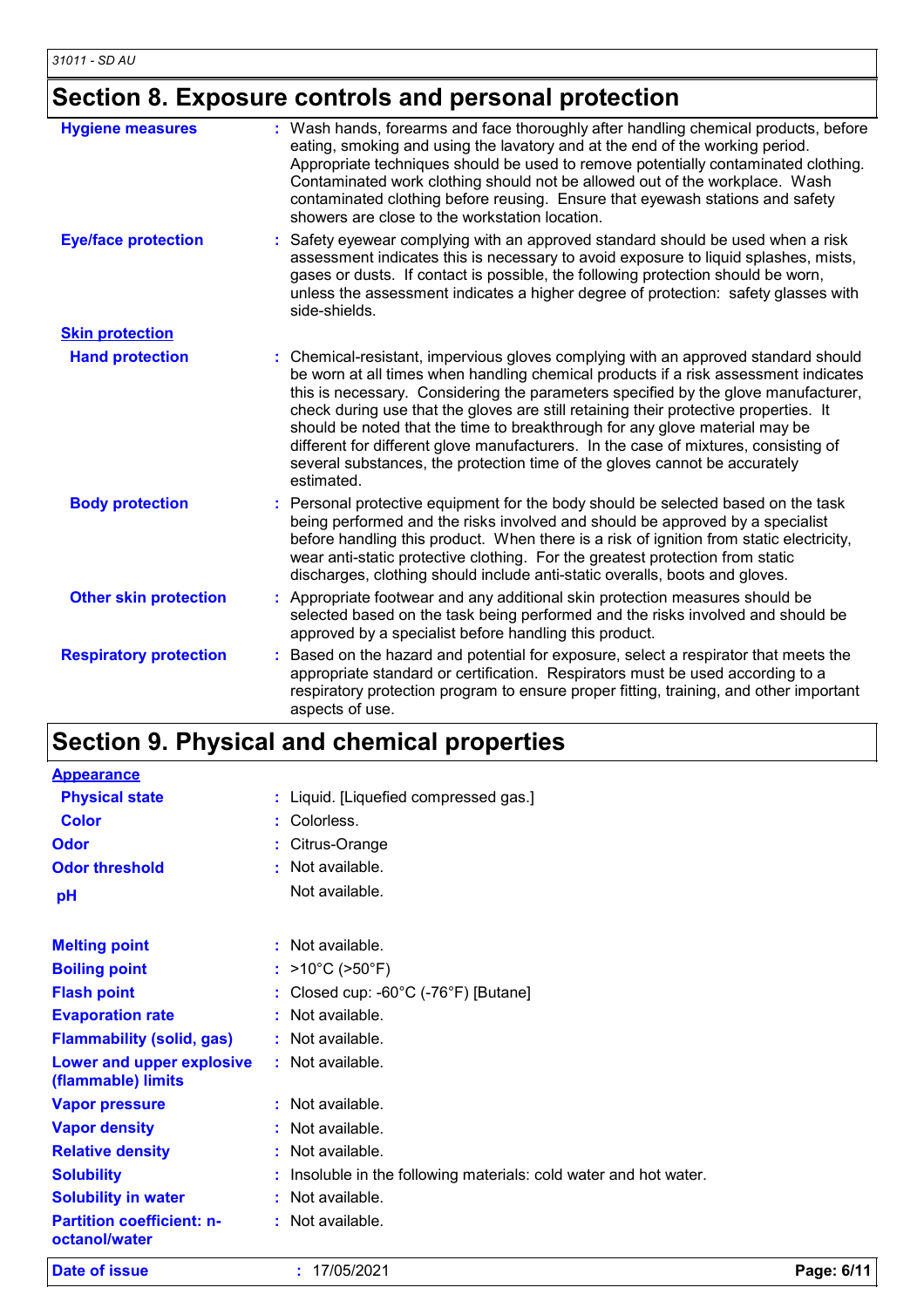## **Section 8. Exposure controls and personal protection**

| <b>Hygiene measures</b>       | : Wash hands, forearms and face thoroughly after handling chemical products, before<br>eating, smoking and using the lavatory and at the end of the working period.<br>Appropriate techniques should be used to remove potentially contaminated clothing.<br>Contaminated work clothing should not be allowed out of the workplace. Wash<br>contaminated clothing before reusing. Ensure that eyewash stations and safety<br>showers are close to the workstation location.                                                                                                                                               |
|-------------------------------|---------------------------------------------------------------------------------------------------------------------------------------------------------------------------------------------------------------------------------------------------------------------------------------------------------------------------------------------------------------------------------------------------------------------------------------------------------------------------------------------------------------------------------------------------------------------------------------------------------------------------|
| <b>Eye/face protection</b>    | Safety eyewear complying with an approved standard should be used when a risk<br>assessment indicates this is necessary to avoid exposure to liquid splashes, mists,<br>gases or dusts. If contact is possible, the following protection should be worn,<br>unless the assessment indicates a higher degree of protection: safety glasses with<br>side-shields.                                                                                                                                                                                                                                                           |
| <b>Skin protection</b>        |                                                                                                                                                                                                                                                                                                                                                                                                                                                                                                                                                                                                                           |
| <b>Hand protection</b>        | : Chemical-resistant, impervious gloves complying with an approved standard should<br>be worn at all times when handling chemical products if a risk assessment indicates<br>this is necessary. Considering the parameters specified by the glove manufacturer,<br>check during use that the gloves are still retaining their protective properties. It<br>should be noted that the time to breakthrough for any glove material may be<br>different for different glove manufacturers. In the case of mixtures, consisting of<br>several substances, the protection time of the gloves cannot be accurately<br>estimated. |
| <b>Body protection</b>        | Personal protective equipment for the body should be selected based on the task<br>being performed and the risks involved and should be approved by a specialist<br>before handling this product. When there is a risk of ignition from static electricity,<br>wear anti-static protective clothing. For the greatest protection from static<br>discharges, clothing should include anti-static overalls, boots and gloves.                                                                                                                                                                                               |
| <b>Other skin protection</b>  | Appropriate footwear and any additional skin protection measures should be<br>selected based on the task being performed and the risks involved and should be<br>approved by a specialist before handling this product.                                                                                                                                                                                                                                                                                                                                                                                                   |
| <b>Respiratory protection</b> | Based on the hazard and potential for exposure, select a respirator that meets the<br>appropriate standard or certification. Respirators must be used according to a<br>respiratory protection program to ensure proper fitting, training, and other important<br>aspects of use.                                                                                                                                                                                                                                                                                                                                         |

## **Section 9. Physical and chemical properties**

| Date of issue                                     | : 17/05/2021                          |                                                                   | Page: 6/11 |
|---------------------------------------------------|---------------------------------------|-------------------------------------------------------------------|------------|
| <b>Partition coefficient: n-</b><br>octanol/water | : Not available.                      |                                                                   |            |
| <b>Solubility in water</b>                        | : Not available.                      |                                                                   |            |
| <b>Solubility</b>                                 |                                       | : Insoluble in the following materials: cold water and hot water. |            |
| <b>Relative density</b>                           | : Not available.                      |                                                                   |            |
| <b>Vapor density</b>                              | : Not available.                      |                                                                   |            |
| <b>Vapor pressure</b>                             | $:$ Not available.                    |                                                                   |            |
| Lower and upper explosive<br>(flammable) limits   | : Not available.                      |                                                                   |            |
| <b>Flammability (solid, gas)</b>                  | : Not available.                      |                                                                   |            |
| <b>Evaporation rate</b>                           | : Not available.                      |                                                                   |            |
| <b>Flash point</b>                                | : Closed cup: -60°C (-76°F) [Butane]  |                                                                   |            |
| <b>Boiling point</b>                              | : $>10^{\circ}$ C ( $>50^{\circ}$ F)  |                                                                   |            |
| <b>Melting point</b>                              | $:$ Not available.                    |                                                                   |            |
| pH                                                | Not available.                        |                                                                   |            |
| <b>Odor threshold</b>                             | $:$ Not available.                    |                                                                   |            |
| Odor                                              | : Citrus-Orange                       |                                                                   |            |
| <b>Color</b>                                      | : Colorless.                          |                                                                   |            |
| <b>Physical state</b>                             | : Liquid. [Liquefied compressed gas.] |                                                                   |            |
| <b>Appearance</b>                                 |                                       |                                                                   |            |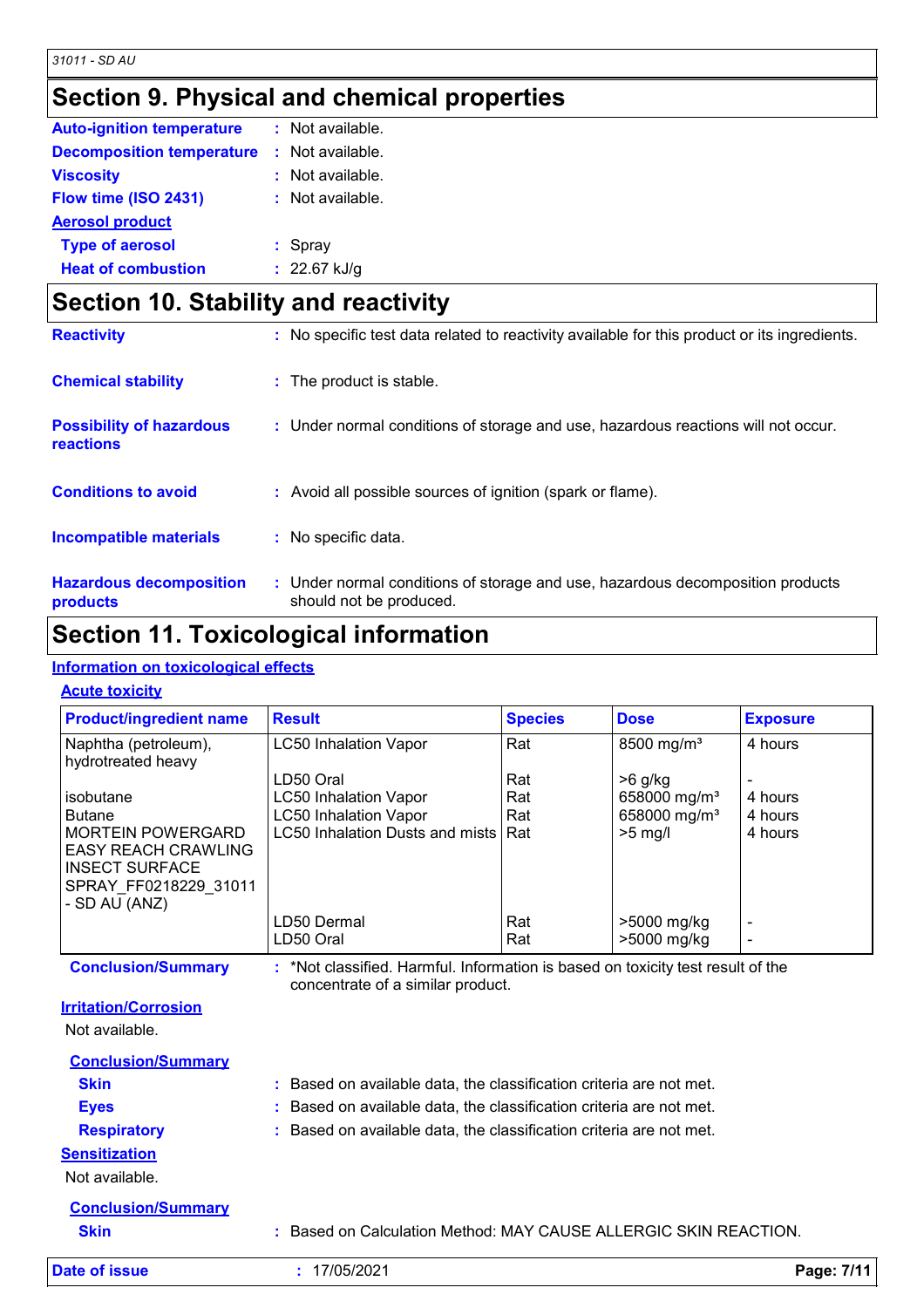## **Section 9. Physical and chemical properties**

| <b>Auto-ignition temperature</b> | : Not available.   |
|----------------------------------|--------------------|
| <b>Decomposition temperature</b> | $:$ Not available. |
| <b>Viscosity</b>                 | $:$ Not available. |
| Flow time (ISO 2431)             | $:$ Not available. |
| <b>Aerosol product</b>           |                    |
| <b>Type of aerosol</b>           | $:$ Spray          |
| <b>Heat of combustion</b>        | : $22.67$ kJ/g     |

| <b>Section 10. Stability and reactivity</b>         |                                                                                                           |  |  |
|-----------------------------------------------------|-----------------------------------------------------------------------------------------------------------|--|--|
| <b>Reactivity</b>                                   | : No specific test data related to reactivity available for this product or its ingredients.              |  |  |
| <b>Chemical stability</b>                           | : The product is stable.                                                                                  |  |  |
| <b>Possibility of hazardous</b><br><b>reactions</b> | : Under normal conditions of storage and use, hazardous reactions will not occur.                         |  |  |
| <b>Conditions to avoid</b>                          | : Avoid all possible sources of ignition (spark or flame).                                                |  |  |
| <b>Incompatible materials</b>                       | : No specific data.                                                                                       |  |  |
| <b>Hazardous decomposition</b><br>products          | : Under normal conditions of storage and use, hazardous decomposition products<br>should not be produced. |  |  |

### **Section 11. Toxicological information**

#### **Information on toxicological effects**

#### **Acute toxicity**

| <b>Product/ingredient name</b>                                                                                            | <b>Result</b>                   | <b>Species</b> | <b>Dose</b>              | <b>Exposure</b> |
|---------------------------------------------------------------------------------------------------------------------------|---------------------------------|----------------|--------------------------|-----------------|
| Naphtha (petroleum),<br>hydrotreated heavy                                                                                | <b>LC50 Inhalation Vapor</b>    | Rat            | 8500 mg/m <sup>3</sup>   | 4 hours         |
|                                                                                                                           | LD50 Oral                       | Rat            | $>6$ g/kg                |                 |
| isobutane                                                                                                                 | <b>LC50 Inhalation Vapor</b>    | Rat            | 658000 mg/m <sup>3</sup> | 4 hours         |
| <b>Butane</b>                                                                                                             | <b>LC50 Inhalation Vapor</b>    | Rat            | 658000 mg/m <sup>3</sup> | 4 hours         |
| <b>MORTEIN POWERGARD</b><br><b>EASY REACH CRAWLING</b><br><b>INSECT SURFACE</b><br>SPRAY FF0218229 31011<br>- SD AU (ANZ) | LC50 Inhalation Dusts and mists | Rat            | $>5$ mg/l                | 4 hours         |
|                                                                                                                           | LD50 Dermal                     | Rat            | >5000 mg/kg              |                 |
|                                                                                                                           | LD50 Oral                       | Rat            | >5000 mg/kg              |                 |

**Conclusion/Summary :** \*Not classified. Harmful. Information is based on toxicity test result of the concentrate of a similar product.

```
Irritation/Corrosion
```
Not available.

| Date of issue             | : 17/05/2021                                                        | Page: 7/11 |
|---------------------------|---------------------------------------------------------------------|------------|
| <b>Skin</b>               | : Based on Calculation Method: MAY CAUSE ALLERGIC SKIN REACTION.    |            |
| <b>Conclusion/Summary</b> |                                                                     |            |
| Not available.            |                                                                     |            |
| <b>Sensitization</b>      |                                                                     |            |
| <b>Respiratory</b>        | : Based on available data, the classification criteria are not met. |            |
| <b>Eyes</b>               | : Based on available data, the classification criteria are not met. |            |
| <b>Skin</b>               | : Based on available data, the classification criteria are not met. |            |
| <b>Conclusion/Summary</b> |                                                                     |            |
|                           |                                                                     |            |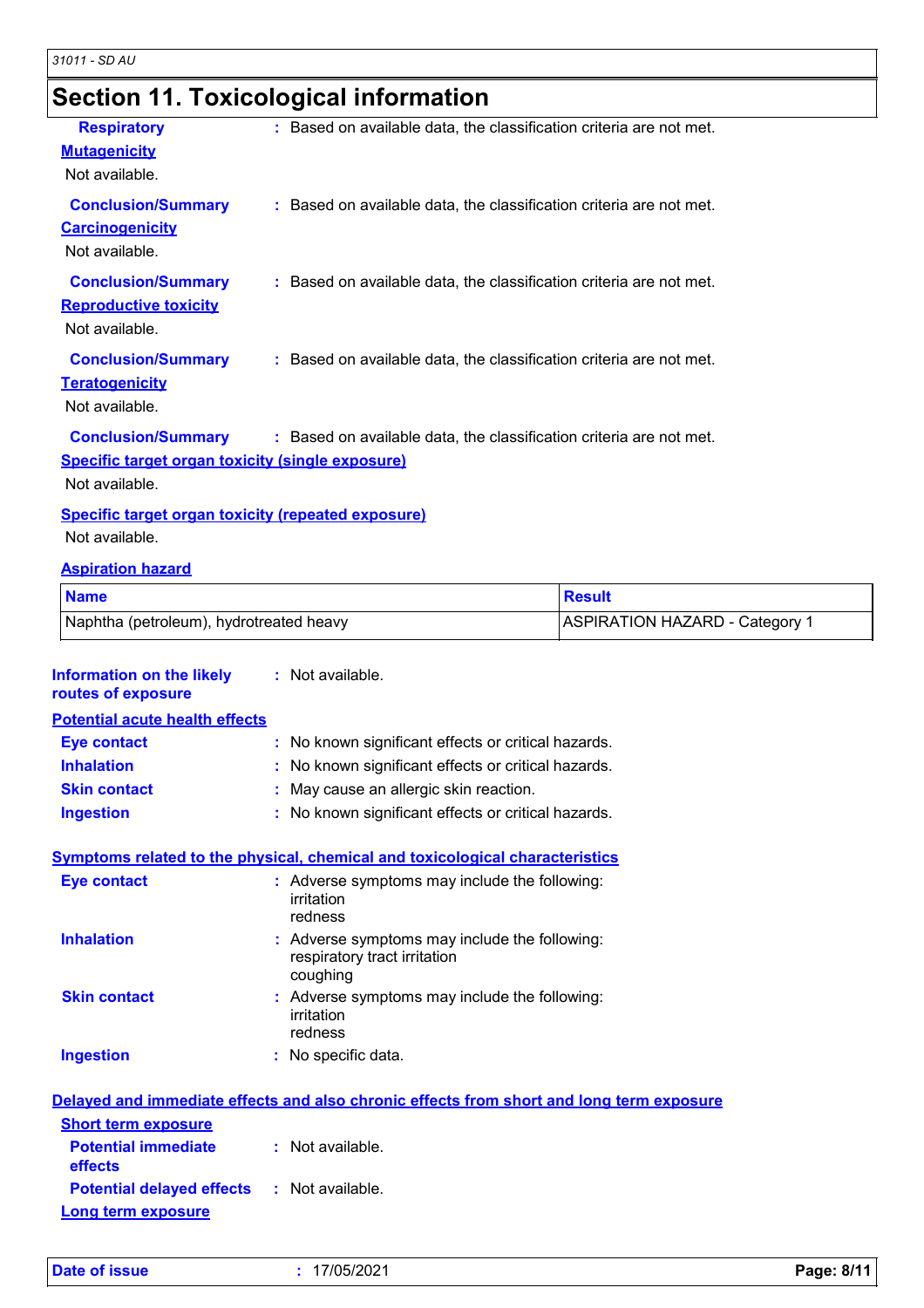## **Section 11. Toxicological information**

| <b>Respiratory</b>                                                    | : Based on available data, the classification criteria are not met. |
|-----------------------------------------------------------------------|---------------------------------------------------------------------|
| <b>Mutagenicity</b>                                                   |                                                                     |
| Not available.                                                        |                                                                     |
| <b>Conclusion/Summary</b><br><b>Carcinogenicity</b><br>Not available. | : Based on available data, the classification criteria are not met. |
| <b>Conclusion/Summary</b>                                             | : Based on available data, the classification criteria are not met. |
| <b>Reproductive toxicity</b>                                          |                                                                     |
| Not available.                                                        |                                                                     |
| <b>Conclusion/Summary</b>                                             | : Based on available data, the classification criteria are not met. |
| <b>Teratogenicity</b>                                                 |                                                                     |
| Not available.                                                        |                                                                     |
| <b>Conclusion/Summary</b>                                             | : Based on available data, the classification criteria are not met. |
| <b>Specific target organ toxicity (single exposure)</b>               |                                                                     |
| Not available.                                                        |                                                                     |
| <b>Specific target organ toxicity (repeated exposure)</b>             |                                                                     |
| Not available.                                                        |                                                                     |
| <b>Aspiration hazard</b>                                              |                                                                     |
| <b>Name</b>                                                           | <b>Result</b>                                                       |
| Naphtha (petroleum), hydrotreated heavy                               | <b>ASPIRATION HAZARD - Category 1</b>                               |

| Information on the likely<br>routes of exposure | : Not available.                                                                          |
|-------------------------------------------------|-------------------------------------------------------------------------------------------|
| <b>Potential acute health effects</b>           |                                                                                           |
| <b>Eye contact</b>                              | : No known significant effects or critical hazards.                                       |
| <b>Inhalation</b>                               | : No known significant effects or critical hazards.                                       |
| <b>Skin contact</b>                             | : May cause an allergic skin reaction.                                                    |
| <b>Ingestion</b>                                | : No known significant effects or critical hazards.                                       |
|                                                 | <b>Symptoms related to the physical, chemical and toxicological characteristics</b>       |
| <b>Eye contact</b>                              | : Adverse symptoms may include the following:<br>irritation<br>redness                    |
| <b>Inhalation</b>                               | : Adverse symptoms may include the following:<br>respiratory tract irritation<br>coughing |
| <b>Skin contact</b>                             | : Adverse symptoms may include the following:<br>irritation<br>redness                    |
| <b>Ingestion</b>                                | : No specific data.                                                                       |
|                                                 | Delayed and immediate effects and also chronic effects from short and long term exposure  |
| <b>Short term exposure</b>                      |                                                                                           |
| <b>Potential immediate</b><br>effects           | : Not available.                                                                          |
| <b>Potential delayed effects</b>                | : Not available.                                                                          |

### **Long term exposure**

| <b>Date of issue</b> |  |  |
|----------------------|--|--|
|                      |  |  |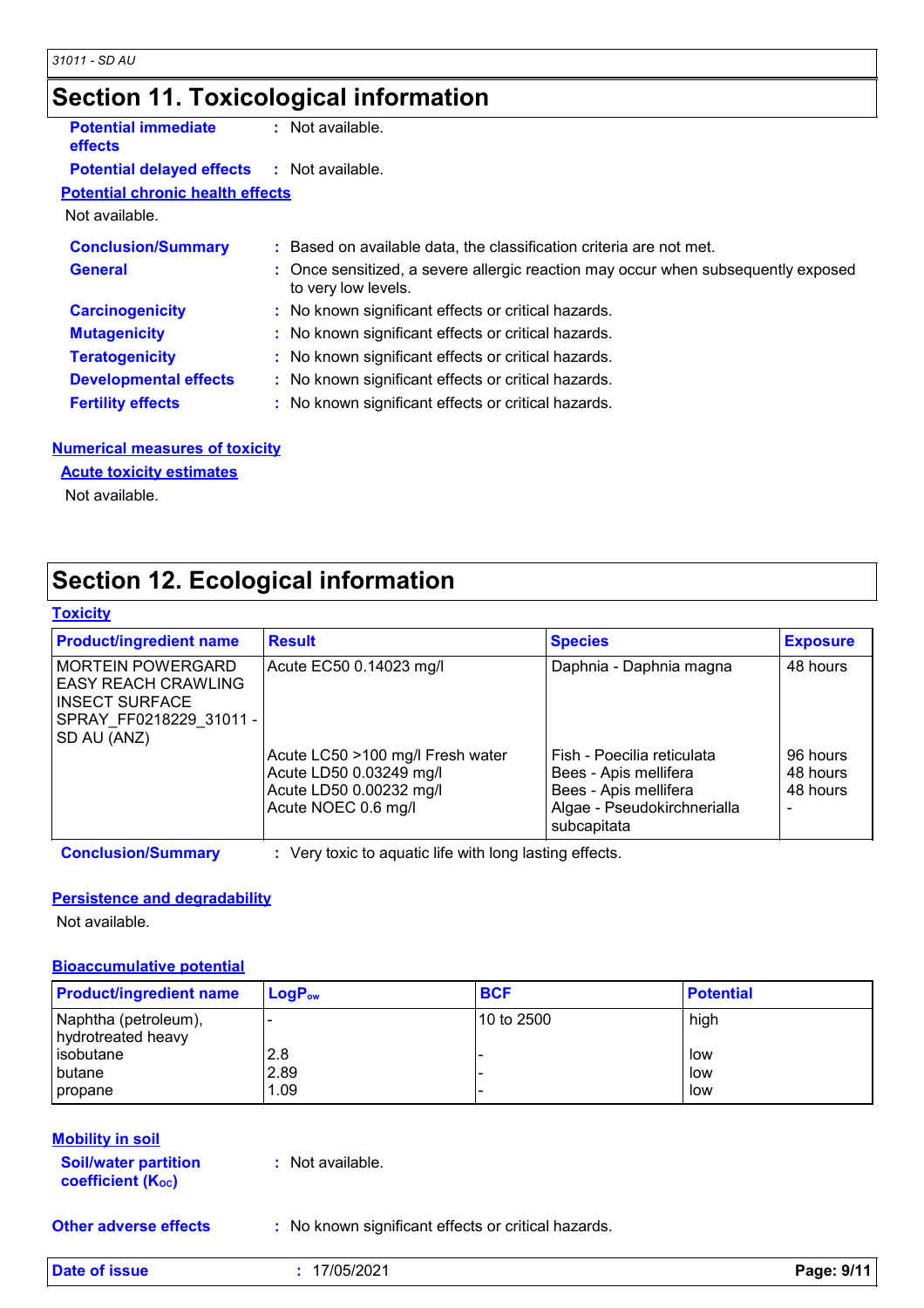## **Section 11. Toxicological information**

| <b>Potential immediate</b><br><b>effects</b>      | $:$ Not available.                                                                                       |  |
|---------------------------------------------------|----------------------------------------------------------------------------------------------------------|--|
| <b>Potential delayed effects : Not available.</b> |                                                                                                          |  |
| <b>Potential chronic health effects</b>           |                                                                                                          |  |
| Not available.                                    |                                                                                                          |  |
| <b>Conclusion/Summary</b>                         | : Based on available data, the classification criteria are not met.                                      |  |
| <b>General</b>                                    | : Once sensitized, a severe allergic reaction may occur when subsequently exposed<br>to very low levels. |  |
| <b>Carcinogenicity</b>                            | : No known significant effects or critical hazards.                                                      |  |
| <b>Mutagenicity</b>                               | : No known significant effects or critical hazards.                                                      |  |
| <b>Teratogenicity</b>                             | : No known significant effects or critical hazards.                                                      |  |
| <b>Developmental effects</b>                      | : No known significant effects or critical hazards.                                                      |  |
| <b>Fertility effects</b>                          | : No known significant effects or critical hazards.                                                      |  |

#### **Numerical measures of toxicity**

### **Acute toxicity estimates**

Not available.

### **Section 12. Ecological information**

#### **Toxicity**

| <b>Product/ingredient name</b>                                                                                      | <b>Result</b>                                                                                                 | <b>Species</b>                                                                                                             | <b>Exposure</b>                       |
|---------------------------------------------------------------------------------------------------------------------|---------------------------------------------------------------------------------------------------------------|----------------------------------------------------------------------------------------------------------------------------|---------------------------------------|
| <b>MORTEIN POWERGARD</b><br> EASY REACH CRAWLING<br>INSECT SURFACE<br>SPRAY FF0218229 31011 -<br><b>SD AU (ANZ)</b> | Acute EC50 0.14023 mg/l                                                                                       | Daphnia - Daphnia magna                                                                                                    | 48 hours                              |
|                                                                                                                     | Acute LC50 >100 mg/l Fresh water<br>Acute LD50 0.03249 mg/l<br>Acute LD50 0.00232 mg/l<br>Acute NOEC 0.6 mg/l | Fish - Poecilia reticulata<br>Bees - Apis mellifera<br>Bees - Apis mellifera<br>Algae - Pseudokirchnerialla<br>subcapitata | 96 hours<br>48 hours<br>48 hours<br>- |

**Conclusion/Summary :** Very toxic to aquatic life with long lasting effects.

#### **Persistence and degradability**

Not available.

#### **Bioaccumulative potential**

| <b>Product/ingredient name</b>             | $LogP_{ow}$ | <b>BCF</b> | <b>Potential</b> |
|--------------------------------------------|-------------|------------|------------------|
| Naphtha (petroleum),<br>hydrotreated heavy |             | 10 to 2500 | high             |
| lisobutane                                 | 2.8         |            | low              |
| <b>butane</b>                              | 2.89        |            | low              |
| <i>I</i> propane                           | 1.09        |            | low              |

#### **Mobility in soil**

**Soil/water partition coefficient (KOC) :** Not available.

**Other adverse effects** : No known significant effects or critical hazards.

**Date of issue :** 17/05/2021 **Page: 9/11**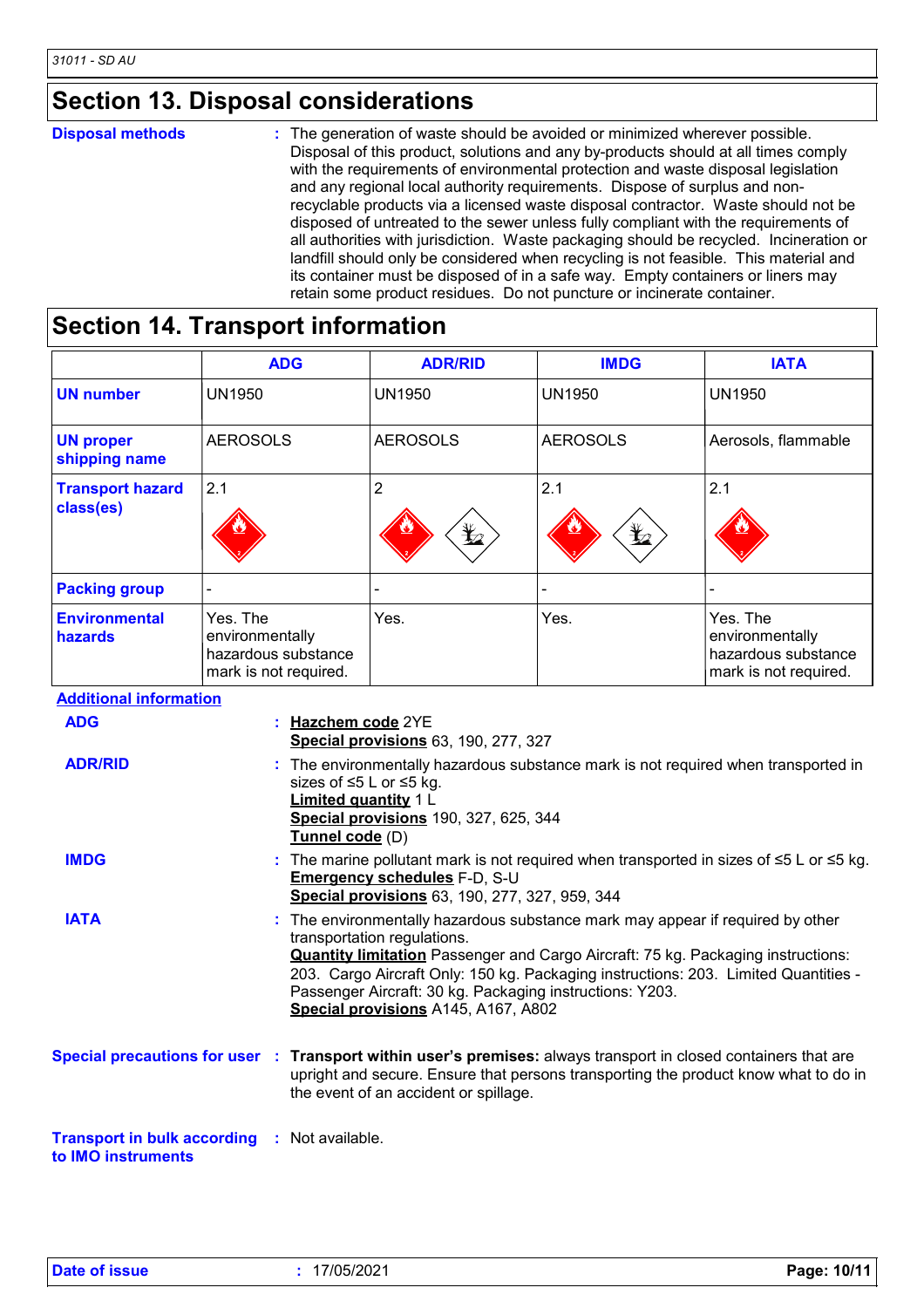### **Section 13. Disposal considerations**

**Disposal methods :**

The generation of waste should be avoided or minimized wherever possible. Disposal of this product, solutions and any by-products should at all times comply with the requirements of environmental protection and waste disposal legislation and any regional local authority requirements. Dispose of surplus and nonrecyclable products via a licensed waste disposal contractor. Waste should not be disposed of untreated to the sewer unless fully compliant with the requirements of all authorities with jurisdiction. Waste packaging should be recycled. Incineration or landfill should only be considered when recycling is not feasible. This material and its container must be disposed of in a safe way. Empty containers or liners may retain some product residues. Do not puncture or incinerate container.

### **Section 14. Transport information**

|                                      | <b>ADG</b>                                                                                                                                                                                               | <b>ADR/RID</b>                                                                                                                                                                                                                                                                                                                                                                                   | <b>IMDG</b>     | <b>IATA</b>                                                                 |  |
|--------------------------------------|----------------------------------------------------------------------------------------------------------------------------------------------------------------------------------------------------------|--------------------------------------------------------------------------------------------------------------------------------------------------------------------------------------------------------------------------------------------------------------------------------------------------------------------------------------------------------------------------------------------------|-----------------|-----------------------------------------------------------------------------|--|
| <b>UN number</b>                     | <b>UN1950</b>                                                                                                                                                                                            | <b>UN1950</b>                                                                                                                                                                                                                                                                                                                                                                                    | <b>UN1950</b>   | <b>UN1950</b>                                                               |  |
| <b>UN proper</b><br>shipping name    | <b>AEROSOLS</b>                                                                                                                                                                                          | <b>AEROSOLS</b>                                                                                                                                                                                                                                                                                                                                                                                  | <b>AEROSOLS</b> | Aerosols, flammable                                                         |  |
| <b>Transport hazard</b><br>class(es) | 2.1                                                                                                                                                                                                      | $\overline{2}$                                                                                                                                                                                                                                                                                                                                                                                   | 2.1             | 2.1                                                                         |  |
| <b>Packing group</b>                 |                                                                                                                                                                                                          |                                                                                                                                                                                                                                                                                                                                                                                                  |                 |                                                                             |  |
| <b>Environmental</b><br>hazards      | Yes. The<br>environmentally<br>hazardous substance<br>mark is not required.                                                                                                                              | Yes.                                                                                                                                                                                                                                                                                                                                                                                             | Yes.            | Yes. The<br>environmentally<br>hazardous substance<br>mark is not required. |  |
| <b>Additional information</b>        |                                                                                                                                                                                                          |                                                                                                                                                                                                                                                                                                                                                                                                  |                 |                                                                             |  |
| <b>ADG</b>                           | Hazchem code 2YE<br>Special provisions 63, 190, 277, 327                                                                                                                                                 |                                                                                                                                                                                                                                                                                                                                                                                                  |                 |                                                                             |  |
| <b>ADR/RID</b>                       | : The environmentally hazardous substance mark is not required when transported in<br>sizes of ≤5 L or ≤5 kg.<br><b>Limited quantity 1 L</b><br>Special provisions 190, 327, 625, 344<br>Tunnel code (D) |                                                                                                                                                                                                                                                                                                                                                                                                  |                 |                                                                             |  |
| <b>IMDG</b>                          | The marine pollutant mark is not required when transported in sizes of $\leq 5$ L or $\leq 5$ kg.<br>Emergency schedules F-D, S-U<br>Special provisions 63, 190, 277, 327, 959, 344                      |                                                                                                                                                                                                                                                                                                                                                                                                  |                 |                                                                             |  |
| <b>IATA</b>                          |                                                                                                                                                                                                          | The environmentally hazardous substance mark may appear if required by other<br>transportation regulations.<br><b>Quantity limitation</b> Passenger and Cargo Aircraft: 75 kg. Packaging instructions:<br>203. Cargo Aircraft Only: 150 kg. Packaging instructions: 203. Limited Quantities -<br>Passenger Aircraft: 30 kg. Packaging instructions: Y203.<br>Special provisions A145, A167, A802 |                 |                                                                             |  |
|                                      |                                                                                                                                                                                                          | Special precautions for user : Transport within user's premises: always transport in closed containers that are<br>upright and secure. Ensure that persons transporting the product know what to do in                                                                                                                                                                                           |                 |                                                                             |  |

**Transport in bulk according :** Not available. **to IMO instruments**

the event of an accident or spillage.